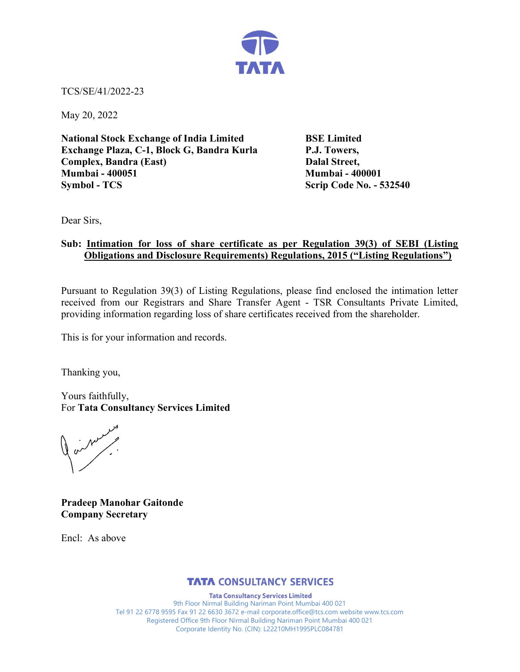

TCS/SE/41/2022-23

May 20, 2022

National Stock Exchange of India Limited BSE Limited Exchange Plaza, C-1, Block G, Bandra Kurla P.J. Towers, Complex, Bandra (East) Dalal Street, Mumbai - 400051 Mumbai - 400001 Symbol - TCS Scrip Code No. - 532540

Dear Sirs,

## Sub: Intimation for loss of share certificate as per Regulation 39(3) of SEBI (Listing Obligations and Disclosure Requirements) Regulations, 2015 ("Listing Regulations")

Pursuant to Regulation 39(3) of Listing Regulations, please find enclosed the intimation letter received from our Registrars and Share Transfer Agent - TSR Consultants Private Limited, providing information regarding loss of share certificates received from the shareholder.

This is for your information and records.

Thanking you,

Yours faithfully, For Tata Consultancy Services Limited

or New P.

Pradeep Manohar Gaitonde Company Secretary

Encl: As above

## **TATA CONSULTANCY SERVICES**

**Tata Consultancy Services Limited** 9th Floor Nirmal Building Nariman Point Mumbai 400 021 Tel 91 22 6778 9595 Fax 91 22 6630 3672 e-mail corporate.office@tcs.com website www.tcs.com Registered Office 9th Floor Nirmal Building Nariman Point Mumbai 400 021 Corporate Identity No. (CIN): L22210MH1995PLC084781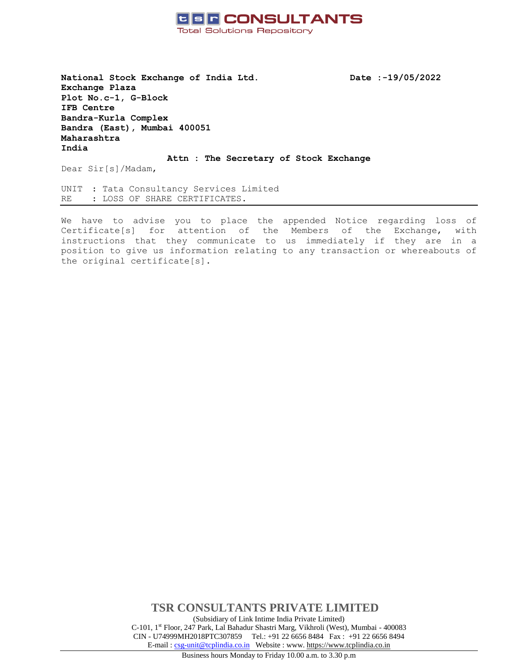

**National Stock Exchange of India Ltd. Date :-19/05/2022 Exchange Plaza Plot No.c-1, G-Block IFB Centre Bandra-Kurla Complex Bandra (East), Mumbai 400051 Maharashtra India**

**Attn : The Secretary of Stock Exchange**

Dear Sir[s]/Madam,

UNIT : Tata Consultancy Services Limited RE : LOSS OF SHARE CERTIFICATES.

We have to advise you to place the appended Notice regarding loss of Certificate[s] for attention of the Members of the Exchange, with instructions that they communicate to us immediately if they are in a position to give us information relating to any transaction or whereabouts of the original certificate[s].

> **TSR CONSULTANTS PRIVATE LIMITED** (Subsidiary of Link Intime India Private Limited) C-101, 1st Floor, 247 Park, Lal Bahadur Shastri Marg, Vikhroli (West), Mumbai - 400083 CIN - U74999MH2018PTC307859Tel.: +91 22 6656 8484 Fax : +91 22 6656 8494 E-mail [: csg-unit@tcplindia.co.in](mailto:csg-unit@tcplindia.co.in) Website : www. [https://www.tcplindia.co.in](http://www.tsrdarashaw.com/) Business hours Monday to Friday 10.00 a.m. to 3.30 p.m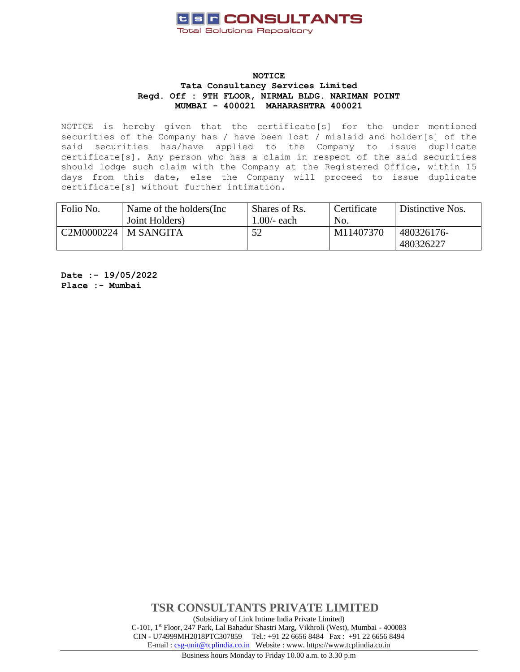

### **NOTICE Tata Consultancy Services Limited Regd. Off : 9TH FLOOR, NIRMAL BLDG. NARIMAN POINT MUMBAI - 400021 MAHARASHTRA 400021**

NOTICE is hereby given that the certificate[s] for the under mentioned securities of the Company has / have been lost / mislaid and holder[s] of the said securities has/have applied to the Company to issue duplicate certificate[s]. Any person who has a claim in respect of the said securities should lodge such claim with the Company at the Registered Office, within 15 days from this date, else the Company will proceed to issue duplicate certificate[s] without further intimation.

| Folio No.                | Name of the holders (Inc.<br>Joint Holders) | Shares of Rs.<br>1.00/- each | Certificate<br>No. | Distinctive Nos.        |
|--------------------------|---------------------------------------------|------------------------------|--------------------|-------------------------|
| $C2M0000224$   M SANGITA |                                             | 52                           | M11407370          | 480326176-<br>480326227 |

**Date :- 19/05/2022 Place :- Mumbai**

> **TSR CONSULTANTS PRIVATE LIMITED** (Subsidiary of Link Intime India Private Limited) C-101, 1st Floor, 247 Park, Lal Bahadur Shastri Marg, Vikhroli (West), Mumbai - 400083 CIN - U74999MH2018PTC307859Tel.: +91 22 6656 8484 Fax : +91 22 6656 8494 E-mail [: csg-unit@tcplindia.co.in](mailto:csg-unit@tcplindia.co.in) Website : www. [https://www.tcplindia.co.in](http://www.tsrdarashaw.com/) Business hours Monday to Friday 10.00 a.m. to 3.30 p.m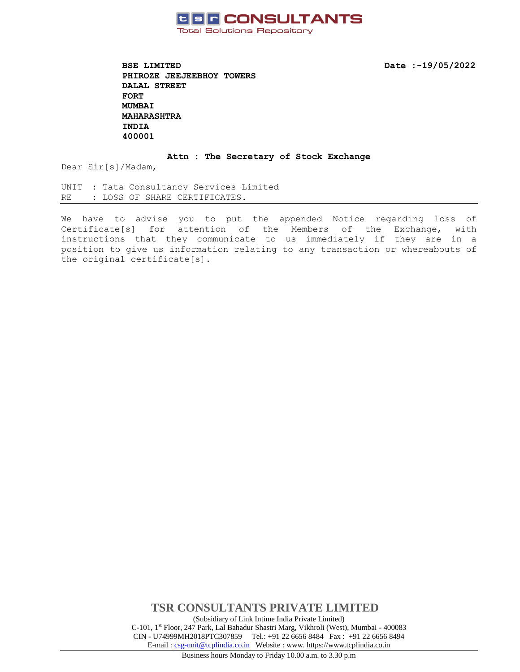

**BSE LIMITED** Date :-19/05/2022 **PHIROZE JEEJEEBHOY TOWERS DALAL STREET FORT MUMBAI MAHARASHTRA INDIA 400001** 

#### **Attn : The Secretary of Stock Exchange**

Dear Sir[s]/Madam,

UNIT : Tata Consultancy Services Limited RE : LOSS OF SHARE CERTIFICATES.

We have to advise you to put the appended Notice regarding loss of Certificate[s] for attention of the Members of the Exchange, with instructions that they communicate to us immediately if they are in a position to give us information relating to any transaction or whereabouts of the original certificate[s].

> **TSR CONSULTANTS PRIVATE LIMITED** (Subsidiary of Link Intime India Private Limited) C-101, 1st Floor, 247 Park, Lal Bahadur Shastri Marg, Vikhroli (West), Mumbai - 400083 CIN - U74999MH2018PTC307859Tel.: +91 22 6656 8484 Fax : +91 22 6656 8494 E-mail [: csg-unit@tcplindia.co.in](mailto:csg-unit@tcplindia.co.in) Website : www. [https://www.tcplindia.co.in](http://www.tsrdarashaw.com/)

Business hours Monday to Friday 10.00 a.m. to 3.30 p.m